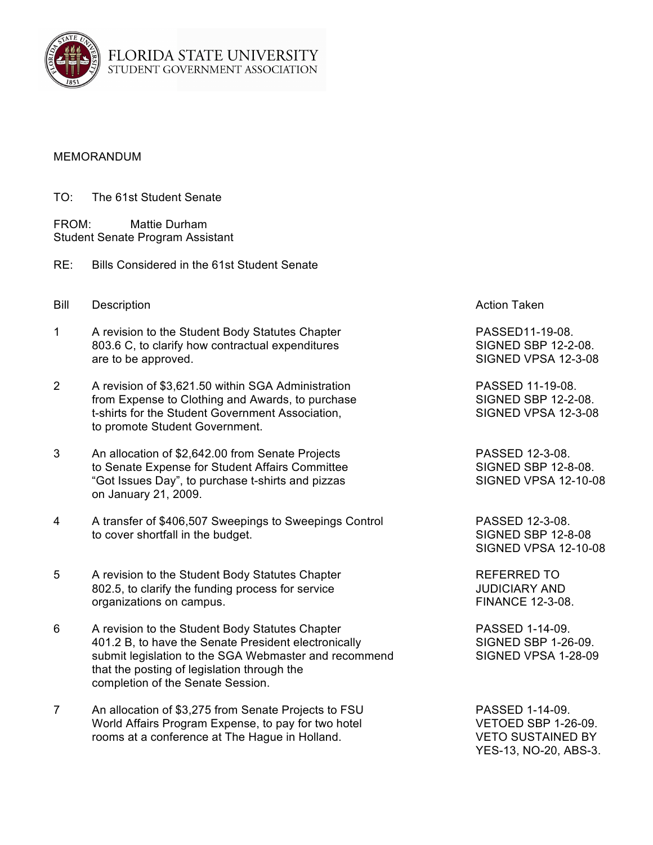

## MEMORANDUM

TO: The 61st Student Senate

FROM: Mattie Durham Student Senate Program Assistant

- RE: Bills Considered in the 61st Student Senate
- **Bill Description Action Taken** Action Taken
- 1 A revision to the Student Body Statutes Chapter **PASSED11-19-08**. 803.6 C, to clarify how contractual expenditures SIGNED SBP 12-2-08. are to be approved. The state of the state of the SIGNED VPSA 12-3-08
- 2 A revision of \$3,621.50 within SGA Administration **PASSED 11-19-08.**<br>From Expense to Clothing and Awards, to purchase **Parameter SIGNED SBP 12-2-08.** from Expense to Clothing and Awards, to purchase t-shirts for the Student Government Association, SIGNED VPSA 12-3-08 to promote Student Government.
- 3 An allocation of \$2,642.00 from Senate Projects PASSED 12-3-08. to Senate Expense for Student Affairs Committee SIGNED SBP 12-8-08. "Got Issues Day", to purchase t-shirts and pizzas SIGNED VPSA 12-10-08 on January 21, 2009.
- 4 A transfer of \$406,507 Sweepings to Sweepings Control PASSED 12-3-08. to cover shortfall in the budget. SIGNED SBP 12-8-08
- 5 A revision to the Student Body Statutes Chapter **REFERRED TO** 802.5, to clarify the funding process for service JUDICIARY AND organizations on campus. The contract of the contract of the FINANCE 12-3-08.
- 6 A revision to the Student Body Statutes Chapter **PASSED 1-14-09.** 401.2 B, to have the Senate President electronically SIGNED SBP 1-26-09. submit legislation to the SGA Webmaster and recommend SIGNED VPSA 1-28-09 that the posting of legislation through the completion of the Senate Session.
- 7 An allocation of \$3,275 from Senate Projects to FSU PASSED 1-14-09. World Affairs Program Expense, to pay for two hotel VETOED SBP 1-26-09. rooms at a conference at The Hague in Holland. VETO SUSTAINED BY

SIGNED VPSA 12-10-08

YES-13, NO-20, ABS-3.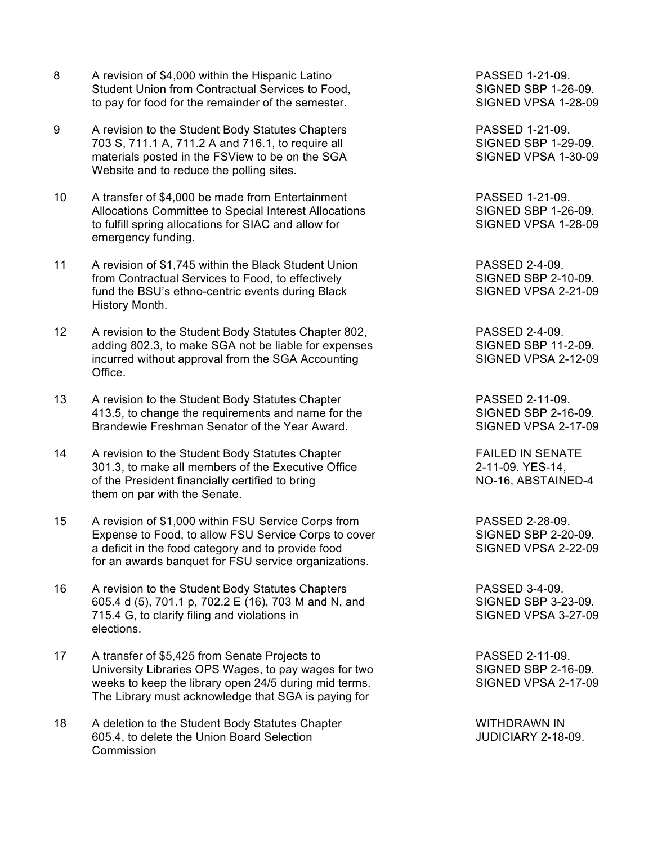- 8 A revision of \$4,000 within the Hispanic Latino **PASSED 1-21-09.** Student Union from Contractual Services to Food, SIGNED SBP 1-26-09. to pay for food for the remainder of the semester. SIGNED VPSA 1-28-09
- 9 A revision to the Student Body Statutes Chapters **PASSED 1-21-09.** 703 S, 711.1 A, 711.2 A and 716.1, to require all SIGNED SBP 1-29-09. materials posted in the FSView to be on the SGA SIGNED VPSA 1-30-09 Website and to reduce the polling sites.
- 10 A transfer of \$4,000 be made from Entertainment PASSED 1-21-09. Allocations Committee to Special Interest Allocations SIGNED SBP 1-26-09. to fulfill spring allocations for SIAC and allow for SIGNED VPSA 1-28-09 emergency funding.
- 11 A revision of \$1,745 within the Black Student Union **PASSED 2-4-09.** from Contractual Services to Food, to effectively Summan SIGNED SBP 2-10-09. fund the BSU's ethno-centric events during Black SIGNED VPSA 2-21-09 History Month.
- 12 A revision to the Student Body Statutes Chapter 802, PASSED 2-4-09. adding 802.3, to make SGA not be liable for expenses SIGNED SBP 11-2-09. incurred without approval from the SGA Accounting SIGNED VPSA 2-12-09 Office.
- 13 A revision to the Student Body Statutes Chapter The State State RASSED 2-11-09. 413.5, to change the requirements and name for the SIGNED SBP 2-16-09. Brandewie Freshman Senator of the Year Award. SIGNED VPSA 2-17-09
- 14 A revision to the Student Body Statutes Chapter The Statute Chapter FAILED IN SENATE 301.3, to make all members of the Executive Office 2-11-09. YES-14, of the President financially certified to bring NO-16, ABSTAINED-4 them on par with the Senate.
- 15 A revision of \$1,000 within FSU Service Corps from The RASSED 2-28-09. Expense to Food, to allow FSU Service Corps to cover SIGNED SBP 2-20-09. a deficit in the food category and to provide food SIGNED VPSA 2-22-09 for an awards banquet for FSU service organizations.
- 16 A revision to the Student Body Statutes Chapters **PASSED** 3-4-09. 605.4 d (5), 701.1 p, 702.2 E (16), 703 M and N, and SIGNED SBP 3-23-09. 715.4 G, to clarify filing and violations in SIGNED VPSA 3-27-09 elections.
- 17 A transfer of \$5,425 from Senate Projects to PASSED 2-11-09. University Libraries OPS Wages, to pay wages for two SIGNED SBP 2-16-09. weeks to keep the library open 24/5 during mid terms. SIGNED VPSA 2-17-09 The Library must acknowledge that SGA is paying for
- 18 A deletion to the Student Body Statutes Chapter Network Chapter MITHDRAWN IN 605.4, to delete the Union Board Selection JUDICIARY 2-18-09. **Commission**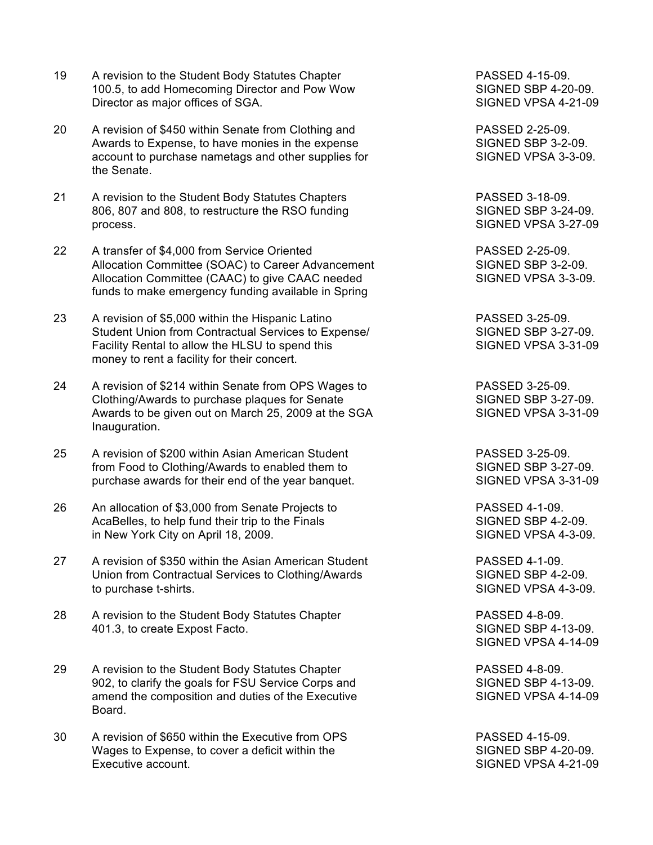- 19 A revision to the Student Body Statutes Chapter **PASSED** 4-15-09. 100.5, to add Homecoming Director and Pow Wow SIGNED SBP 4-20-09. Director as major offices of SGA. SIGNED VPSA 4-21-09
- 20 A revision of \$450 within Senate from Clothing and PASSED 2-25-09. Awards to Expense, to have monies in the expense SIGNED SBP 3-2-09. account to purchase nametags and other supplies for SIGNED VPSA 3-3-09. the Senate.
- 21 A revision to the Student Body Statutes Chapters **PASSED 3-18-09.** 806, 807 and 808, to restructure the RSO funding SIGNED SBP 3-24-09. process. SIGNED VPSA 3-27-09
- 22 A transfer of \$4,000 from Service Oriented PASSED 2-25-09. Allocation Committee (SOAC) to Career Advancement SIGNED SBP 3-2-09. Allocation Committee (CAAC) to give CAAC needed SIGNED VPSA 3-3-09. funds to make emergency funding available in Spring
- 23 A revision of \$5,000 within the Hispanic Latino PASSED 3-25-09. Student Union from Contractual Services to Expense/ SIGNED SBP 3-27-09. Facility Rental to allow the HLSU to spend this SIGNED VPSA 3-31-09 money to rent a facility for their concert.
- 24 A revision of \$214 within Senate from OPS Wages to PASSED 3-25-09.<br>Clothing/Awards to purchase plaques for Senate Summan SIGNED SBP 3-27-09. Clothing/Awards to purchase plaques for Senate Awards to be given out on March 25, 2009 at the SGA SIGNED VPSA 3-31-09 Inauguration.
- 25 A revision of \$200 within Asian American Student PASSED 3-25-09. from Food to Clothing/Awards to enabled them to SIGNED SBP 3-27-09. purchase awards for their end of the year banquet. SIGNED VPSA 3-31-09
- 26 An allocation of \$3,000 from Senate Projects to PASSED 4-1-09. AcaBelles, to help fund their trip to the Finals SIGNED SBP 4-2-09. in New York City on April 18, 2009. SIGNED VPSA 4-3-09.
- 27 A revision of \$350 within the Asian American Student Face Controller PASSED 4-1-09. Union from Contractual Services to Clothing/Awards SIGNED SBP 4-2-09. to purchase t-shirts. The state of the state of the SIGNED VPSA 4-3-09.
- 28 A revision to the Student Body Statutes Chapter **PASSED 4-8-09.** 401.3, to create Expost Facto. SIGNED SBP 4-13-09.
- 29 A revision to the Student Body Statutes Chapter **PASSED** 4-8-09. 902, to clarify the goals for FSU Service Corps and SIGNED SBP 4-13-09. amend the composition and duties of the Executive SIGNED VPSA 4-14-09 Board.
- 30 A revision of \$650 within the Executive from OPS PASSED 4-15-09. Wages to Expense, to cover a deficit within the SIGNED SBP 4-20-09. Executive account. The state of the state of the state of the SIGNED VPSA 4-21-09

SIGNED VPSA 4-14-09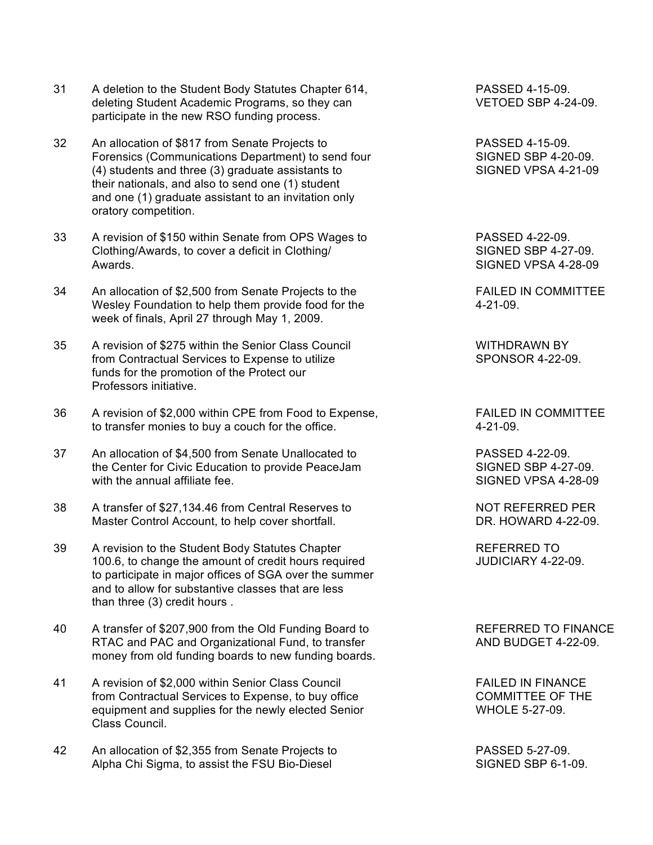- 31 A deletion to the Student Body Statutes Chapter 614, PASSED 4-15-09. deleting Student Academic Programs, so they can VETOED SBP 4-24-09. participate in the new RSO funding process.
- 32 An allocation of \$817 from Senate Projects to PASSED 4-15-09. Forensics (Communications Department) to send four SIGNED SBP 4-20-09. (4) students and three (3) graduate assistants to SIGNED VPSA 4-21-09 their nationals, and also to send one (1) student and one (1) graduate assistant to an invitation only oratory competition.
- 33 A revision of \$150 within Senate from OPS Wages to PASSED 4-22-09. Clothing/Awards, to cover a deficit in Clothing/ SIGNED SBP 4-27-09. Awards. SIGNED VPSA 4-28-09
- 34 An allocation of \$2,500 from Senate Projects to the FAILED IN COMMITTEE Wesley Foundation to help them provide food for the 4-21-09. week of finals, April 27 through May 1, 2009.
- 35 A revision of \$275 within the Senior Class Council The MITHDRAWN BY from Contractual Services to Expense to utilize SPONSOR 4-22-09. funds for the promotion of the Protect our Professors initiative.
- 36 A revision of \$2,000 within CPE from Food to Expense, FAILED IN COMMITTEE to transfer monies to buy a couch for the office. 4-21-09.
- 37 An allocation of \$4,500 from Senate Unallocated to PASSED 4-22-09. the Center for Civic Education to provide PeaceJam SIGNED SBP 4-27-09. with the annual affiliate fee.  $\sim$  SIGNED VPSA 4-28-09
- 38 A transfer of \$27,134.46 from Central Reserves to NOT REFERRED PER Master Control Account, to help cover shortfall. The DR. HOWARD 4-22-09.
- 39 A revision to the Student Body Statutes Chapter The REFERRED TO 100.6, to change the amount of credit hours required JUDICIARY 4-22-09. to participate in major offices of SGA over the summer and to allow for substantive classes that are less than three (3) credit hours .
- 40 A transfer of \$207,900 from the Old Funding Board to REFERRED TO FINANCE RTAC and PAC and Organizational Fund, to transfer AND BUDGET 4-22-09. money from old funding boards to new funding boards.
- 41 A revision of \$2,000 within Senior Class Council FAILED IN FINANCE from Contractual Services to Expense, to buy office The COMMITTEE OF THE equipment and supplies for the newly elected Senior WHOLE 5-27-09. Class Council.
- 42 An allocation of \$2,355 from Senate Projects to PASSED 5-27-09. Alpha Chi Sigma, to assist the FSU Bio-Diesel Supervention of SIGNED SBP 6-1-09.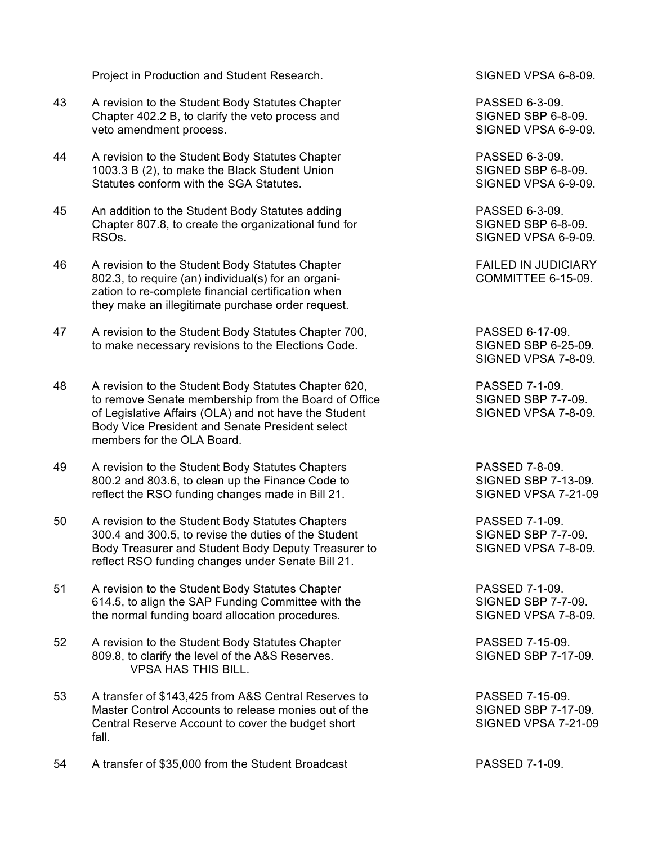Project in Production and Student Research. SIGNED VPSA 6-8-09.

- 43 A revision to the Student Body Statutes Chapter **PASSED 6-3-09.** Chapter 402.2 B, to clarify the veto process and SIGNED SBP 6-8-09. veto amendment process. The state of the state of the SIGNED VPSA 6-9-09.
- 44 A revision to the Student Body Statutes Chapter **PASSED 6-3-09.** 1003.3 B (2), to make the Black Student Union SIGNED SBP 6-8-09. Statutes conform with the SGA Statutes. SIGNED VPSA 6-9-09.
- 45 An addition to the Student Body Statutes adding PASSED 6-3-09. Chapter 807.8, to create the organizational fund for SIGNED SBP 6-8-09. RSOs. SIGNED VPSA 6-9-09.
- 46 A revision to the Student Body Statutes Chapter FAILED IN JUDICIARY 802.3, to require (an) individual(s) for an organi- COMMITTEE 6-15-09. zation to re-complete financial certification when they make an illegitimate purchase order request.
- 47 A revision to the Student Body Statutes Chapter 700, PASSED 6-17-09. to make necessary revisions to the Elections Code. SIGNED SBP 6-25-09.
- 48 A revision to the Student Body Statutes Chapter 620,<br>
to remove Senate membership from the Board of Office SIGNED SBP 7-7-09. to remove Senate membership from the Board of Office of Legislative Affairs (OLA) and not have the Student SIGNED VPSA 7-8-09. Body Vice President and Senate President select members for the OLA Board.
- 49 A revision to the Student Body Statutes Chapters **PASSED** 7-8-09. 800.2 and 803.6, to clean up the Finance Code to SIGNED SBP 7-13-09. reflect the RSO funding changes made in Bill 21. SIGNED VPSA 7-21-09
- 50 A revision to the Student Body Statutes Chapters PASSED 7-1-09. 300.4 and 300.5, to revise the duties of the Student SIGNED SBP 7-7-09. Body Treasurer and Student Body Deputy Treasurer to SIGNED VPSA 7-8-09. reflect RSO funding changes under Senate Bill 21.
- 51 A revision to the Student Body Statutes Chapter **PASSED 7-1-09.** 614.5, to align the SAP Funding Committee with the SIGNED SBP 7-7-09. the normal funding board allocation procedures. SIGNED VPSA 7-8-09.
- 52 A revision to the Student Body Statutes Chapter **PASSED 7-15-09.** 809.8, to clarify the level of the A&S Reserves. SIGNED SBP 7-17-09. VPSA HAS THIS BILL.
- 53 A transfer of \$143,425 from A&S Central Reserves to PASSED 7-15-09. Master Control Accounts to release monies out of the SIGNED SBP 7-17-09. Central Reserve Account to cover the budget short SIGNED VPSA 7-21-09 fall.
- 54 A transfer of \$35,000 from the Student Broadcast **PASSED 7-1-09.**

SIGNED VPSA 7-8-09.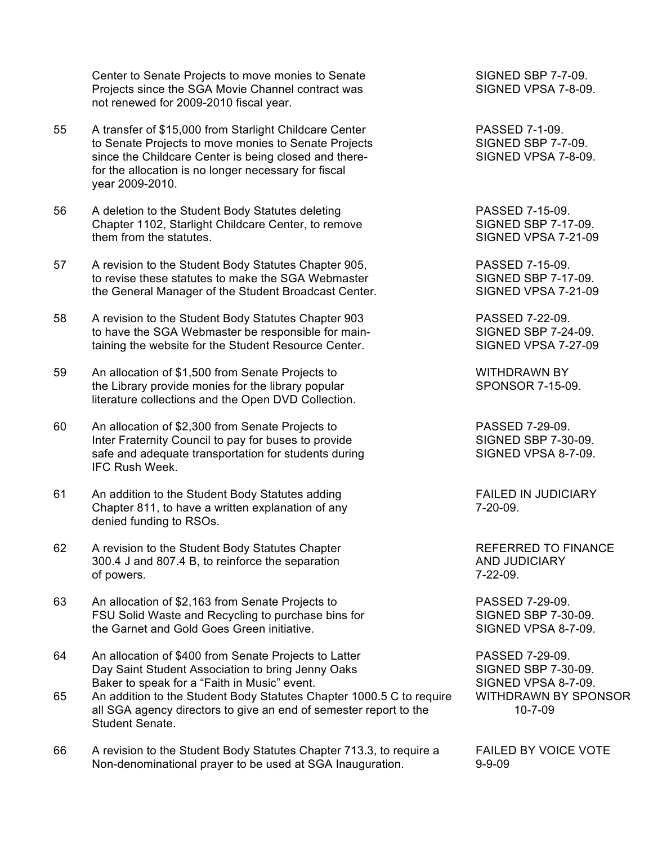Center to Senate Projects to move monies to Senate SIGNED SBP 7-7-09. Projects since the SGA Movie Channel contract was SIGNED VPSA 7-8-09. not renewed for 2009-2010 fiscal year.

- 55 A transfer of \$15,000 from Starlight Childcare Center PASSED 7-1-09. to Senate Projects to move monies to Senate Projects SIGNED SBP 7-7-09. since the Childcare Center is being closed and there-<br>SIGNED VPSA 7-8-09. for the allocation is no longer necessary for fiscal year 2009-2010.
- 56 A deletion to the Student Body Statutes deleting PASSED 7-15-09. Chapter 1102, Starlight Childcare Center, to remove SIGNED SBP 7-17-09.<br>
them from the statutes.<br>
SIGNED VPSA 7-21-09
- 57 A revision to the Student Body Statutes Chapter 905, PASSED 7-15-09. to revise these statutes to make the SGA Webmaster SIGNED SBP 7-17-09. the General Manager of the Student Broadcast Center. SIGNED VPSA 7-21-09
- 58 A revision to the Student Body Statutes Chapter 903 PASSED 7-22-09. to have the SGA Webmaster be responsible for main-<br>SIGNED SBP 7-24-09. taining the website for the Student Resource Center. SIGNED VPSA 7-27-09
- 59 An allocation of \$1,500 from Senate Projects to WITHDRAWN BY the Library provide monies for the library popular SPONSOR 7-15-09. literature collections and the Open DVD Collection.
- 60 An allocation of \$2,300 from Senate Projects to PASSED 7-29-09. Inter Fraternity Council to pay for buses to provide SIGNED SBP 7-30-09. safe and adequate transportation for students during SIGNED VPSA 8-7-09. IFC Rush Week.
- 61 An addition to the Student Body Statutes adding FAILED IN JUDICIARY Chapter 811, to have a written explanation of any The Chapter 811, to have a written explanation of any denied funding to RSOs.
- 62 A revision to the Student Body Statutes Chapter **REFERRED TO FINANCE** 300.4 J and 807.4 B, to reinforce the separation AND JUDICIARY of powers. 7-22-09.
- 63 An allocation of \$2,163 from Senate Projects to PASSED 7-29-09. FSU Solid Waste and Recycling to purchase bins for SIGNED SBP 7-30-09. the Garnet and Gold Goes Green initiative. Notifiable 10 SIGNED VPSA 8-7-09.
- 64 An allocation of \$400 from Senate Projects to Latter PASSED 7-29-09. Day Saint Student Association to bring Jenny Oaks SIGNED SBP 7-30-09. Baker to speak for a "Faith in Music" event. SIGNED VPSA 8-7-09.
- 65 An addition to the Student Body Statutes Chapter 1000.5 C to require WITHDRAWN BY SPONSOR all SGA agency directors to give an end of semester report to the 10-7-09 Student Senate.
- 66 A revision to the Student Body Statutes Chapter 713.3, to require a FAILED BY VOICE VOTE Non-denominational prayer to be used at SGA Inauguration. 9-9-09

SIGNED VPSA 7-21-09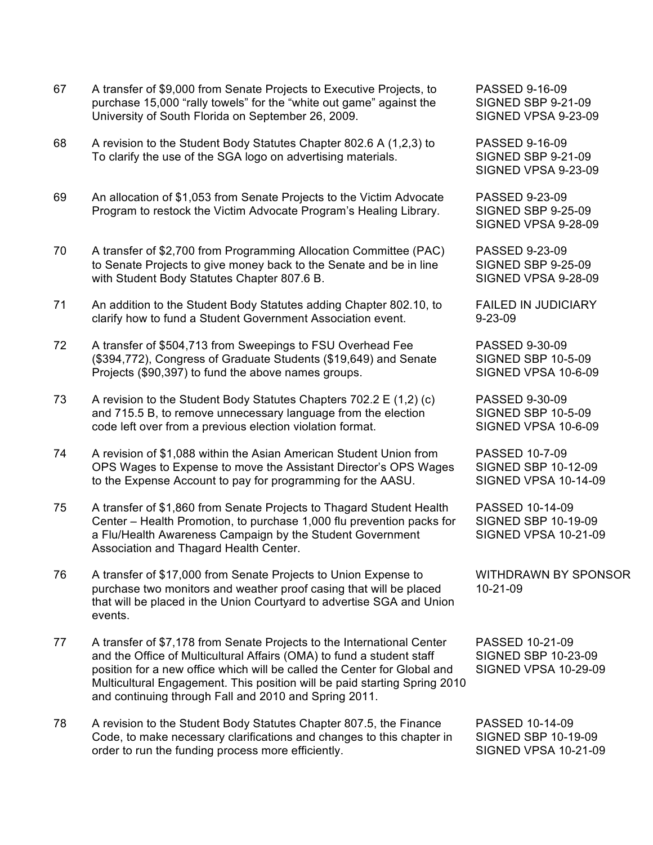- 67 A transfer of \$9,000 from Senate Projects to Executive Projects, to PASSED 9-16-09 purchase 15,000 "rally towels" for the "white out game" against the University of South Florida on September 26, 2009. SIGNED VPSA 9-23-09
- 68 A revision to the Student Body Statutes Chapter 802.6 A (1,2,3) to PASSED 9-16-09 To clarify the use of the SGA logo on advertising materials. SIGNED SBP 9-21-09
- 69 An allocation of \$1,053 from Senate Projects to the Victim Advocate PASSED 9-23-09 Program to restock the Victim Advocate Program's Healing Library. SIGNED SBP 9-25-09
- 70 A transfer of \$2,700 from Programming Allocation Committee (PAC) PASSED 9-23-09 to Senate Projects to give money back to the Senate and be in line SIGNED SBP 9-25-09 with Student Body Statutes Chapter 807.6 B. SIGNED VPSA 9-28-09
- 71 An addition to the Student Body Statutes adding Chapter 802.10, to FAILED IN JUDICIARY clarify how to fund a Student Government Association event. 9-23-09
- 72 A transfer of \$504,713 from Sweepings to FSU Overhead Fee PASSED 9-30-09 (\$394,772), Congress of Graduate Students (\$19,649) and Senate SIGNED SBP 10-5-09 Projects (\$90,397) to fund the above names groups. SIGNED VPSA 10-6-09
- 73 A revision to the Student Body Statutes Chapters 702.2 E (1,2) (c) PASSED 9-30-09 and 715.5 B, to remove unnecessary language from the election SIGNED SBP 10-5-09 code left over from a previous election violation format. SIGNED VPSA 10-6-09
- 74 A revision of \$1,088 within the Asian American Student Union from PASSED 10-7-09 OPS Wages to Expense to move the Assistant Director's OPS Wages SIGNED SBP 10-12-09 to the Expense Account to pay for programming for the AASU. SIGNED VPSA 10-14-09
- 75 A transfer of \$1,860 from Senate Projects to Thagard Student Health PASSED 10-14-09 Center – Health Promotion, to purchase 1,000 flu prevention packs for SIGNED SBP 10-19-09 a Flu/Health Awareness Campaign by the Student Government SIGNED VPSA 10-21-09 Association and Thagard Health Center.
- 76 A transfer of \$17,000 from Senate Projects to Union Expense to WITHDRAWN BY SPONSOR purchase two monitors and weather proof casing that will be placed 10-21-09 that will be placed in the Union Courtyard to advertise SGA and Union events.
- 77 A transfer of \$7,178 from Senate Projects to the International Center PASSED 10-21-09 and the Office of Multicultural Affairs (OMA) to fund a student staff SIGNED SBP 10-23-09 position for a new office which will be called the Center for Global and SIGNED VPSA 10-29-09 Multicultural Engagement. This position will be paid starting Spring 2010 and continuing through Fall and 2010 and Spring 2011.
- 78 A revision to the Student Body Statutes Chapter 807.5, the Finance PASSED 10-14-09 Code, to make necessary clarifications and changes to this chapter in SIGNED SBP 10-19-09 order to run the funding process more efficiently. SIGNED VPSA 10-21-09

SIGNED VPSA 9-23-09

SIGNED VPSA 9-28-09